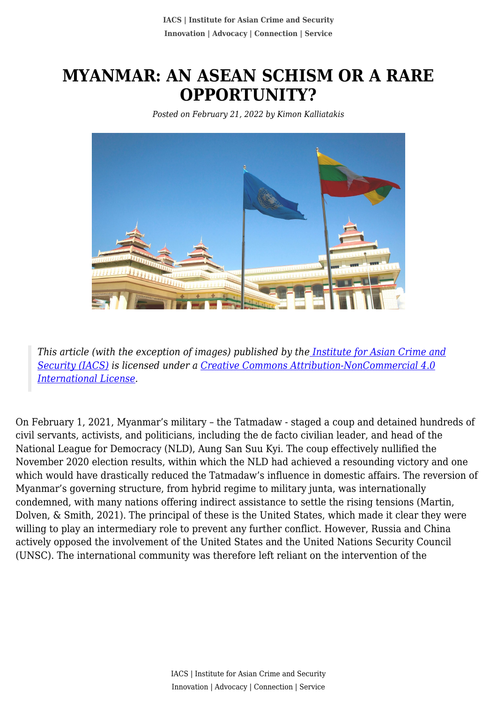# **MYANMAR: AN ASEAN SCHISM OR A RARE OPPORTUNITY?**

*Posted on February 21, 2022 by Kimon Kalliatakis*



*This article (with the exception of images) published by th[e Institute for Asian Crime and](http://www.theiacs.org) [Security \(IACS\)](http://www.theiacs.org) is licensed under a [Creative Commons Attribution-NonCommercial 4.0](http://creativecommons.org/licenses/by-nc/4.0/) [International License](http://creativecommons.org/licenses/by-nc/4.0/).*

On February 1, 2021, Myanmar's military – the Tatmadaw - staged a coup and detained hundreds of civil servants, activists, and politicians, including the de facto civilian leader, and head of the National League for Democracy (NLD), Aung San Suu Kyi. The coup effectively nullified the November 2020 election results, within which the NLD had achieved a resounding victory and one which would have drastically reduced the Tatmadaw's influence in domestic affairs. The reversion of Myanmar's governing structure, from hybrid regime to military junta, was internationally condemned, with many nations offering indirect assistance to settle the rising tensions (Martin, Dolven, & Smith, 2021). The principal of these is the United States, which made it clear they were willing to play an intermediary role to prevent any further conflict. However, Russia and China actively opposed the involvement of the United States and the United Nations Security Council (UNSC). The international community was therefore left reliant on the intervention of the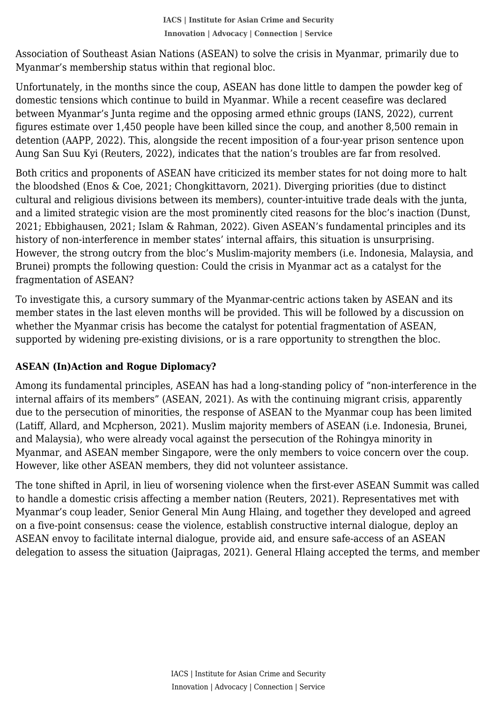Myanmar's membership status within that regional bloc. Association of Southeast Asian Nations (ASEAN) to solve the crisis in Myanmar, primarily due to

Unfortunately, in the months since the coup, ASEAN has done little to dampen the powder keg of domestic tensions which continue to build in Myanmar. While a recent ceasefire was declared between Myanmar's Junta regime and the opposing armed ethnic groups (IANS, 2022), current figures estimate over 1,450 people have been killed since the coup, and another 8,500 remain in detention (AAPP, 2022). This, alongside the recent imposition of a four-year prison sentence upon Aung San Suu Kyi (Reuters, 2022), indicates that the nation's troubles are far from resolved.

Both critics and proponents of ASEAN have criticized its member states for not doing more to halt the bloodshed (Enos & Coe, 2021; Chongkittavorn, 2021). Diverging priorities (due to distinct cultural and religious divisions between its members), counter-intuitive trade deals with the junta, and a limited strategic vision are the most prominently cited reasons for the bloc's inaction (Dunst, 2021; Ebbighausen, 2021; Islam & Rahman, 2022). Given ASEAN's fundamental principles and its history of non-interference in member states' internal affairs, this situation is unsurprising. However, the strong outcry from the bloc's Muslim-majority members (i.e. Indonesia, Malaysia, and Brunei) prompts the following question: Could the crisis in Myanmar act as a catalyst for the fragmentation of ASEAN?

To investigate this, a cursory summary of the Myanmar-centric actions taken by ASEAN and its member states in the last eleven months will be provided. This will be followed by a discussion on whether the Myanmar crisis has become the catalyst for potential fragmentation of ASEAN, supported by widening pre-existing divisions, or is a rare opportunity to strengthen the bloc.

# **ASEAN (In)Action and Rogue Diplomacy?**

Among its fundamental principles, ASEAN has had a long-standing policy of "non-interference in the internal affairs of its members" (ASEAN, 2021). As with the continuing migrant crisis, apparently due to the persecution of minorities, the response of ASEAN to the Myanmar coup has been limited (Latiff, Allard, and Mcpherson, 2021). Muslim majority members of ASEAN (i.e. Indonesia, Brunei, and Malaysia), who were already vocal against the persecution of the Rohingya minority in Myanmar, and ASEAN member Singapore, were the only members to voice concern over the coup. However, like other ASEAN members, they did not volunteer assistance.

The tone shifted in April, in lieu of worsening violence when the first-ever ASEAN Summit was called to handle a domestic crisis affecting a member nation (Reuters, 2021). Representatives met with Myanmar's coup leader, Senior General Min Aung Hlaing, and together they developed and agreed on a five-point consensus: cease the violence, establish constructive internal dialogue, deploy an ASEAN envoy to facilitate internal dialogue, provide aid, and ensure safe-access of an ASEAN delegation to assess the situation (Jaipragas, 2021). General Hlaing accepted the terms, and member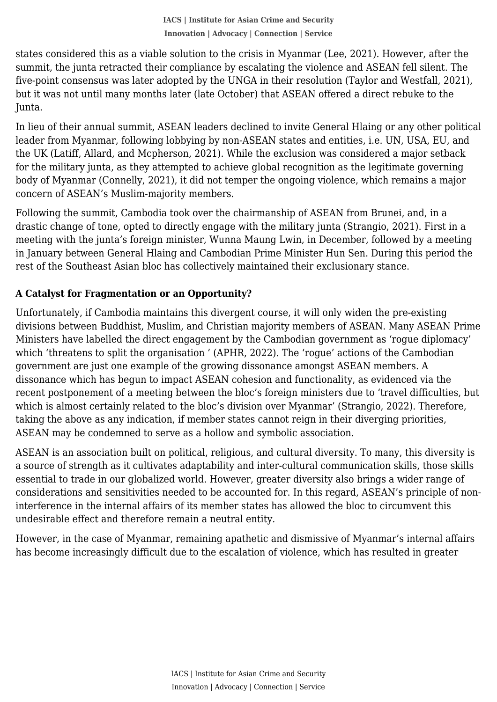summit, the junta retracted their compliance by escalating the violence and ASEAN fell silent. The states considered this as a viable solution to the crisis in Myanmar (Lee, 2021). However, after the five-point consensus was later adopted by the UNGA in their resolution (Taylor and Westfall, 2021), but it was not until many months later (late October) that ASEAN offered a direct rebuke to the Junta.

In lieu of their annual summit, ASEAN leaders declined to invite General Hlaing or any other political leader from Myanmar, following lobbying by non-ASEAN states and entities, i.e. UN, USA, EU, and the UK (Latiff, Allard, and Mcpherson, 2021). While the exclusion was considered a major setback for the military junta, as they attempted to achieve global recognition as the legitimate governing body of Myanmar (Connelly, 2021), it did not temper the ongoing violence, which remains a major concern of ASEAN's Muslim-majority members.

Following the summit, Cambodia took over the chairmanship of ASEAN from Brunei, and, in a drastic change of tone, opted to directly engage with the military junta (Strangio, 2021). First in a meeting with the junta's foreign minister, Wunna Maung Lwin, in December, followed by a meeting in January between General Hlaing and Cambodian Prime Minister Hun Sen. During this period the rest of the Southeast Asian bloc has collectively maintained their exclusionary stance.

# **A Catalyst for Fragmentation or an Opportunity?**

Unfortunately, if Cambodia maintains this divergent course, it will only widen the pre-existing divisions between Buddhist, Muslim, and Christian majority members of ASEAN. Many ASEAN Prime Ministers have labelled the direct engagement by the Cambodian government as 'rogue diplomacy' which 'threatens to split the organisation ' (APHR, 2022). The 'rogue' actions of the Cambodian government are just one example of the growing dissonance amongst ASEAN members. A dissonance which has begun to impact ASEAN cohesion and functionality, as evidenced via the recent postponement of a meeting between the bloc's foreign ministers due to 'travel difficulties, but which is almost certainly related to the bloc's division over Myanmar' (Strangio, 2022). Therefore, taking the above as any indication, if member states cannot reign in their diverging priorities, ASEAN may be condemned to serve as a hollow and symbolic association.

ASEAN is an association built on political, religious, and cultural diversity. To many, this diversity is a source of strength as it cultivates adaptability and inter-cultural communication skills, those skills essential to trade in our globalized world. However, greater diversity also brings a wider range of considerations and sensitivities needed to be accounted for. In this regard, ASEAN's principle of noninterference in the internal affairs of its member states has allowed the bloc to circumvent this undesirable effect and therefore remain a neutral entity.

However, in the case of Myanmar, remaining apathetic and dismissive of Myanmar's internal affairs has become increasingly difficult due to the escalation of violence, which has resulted in greater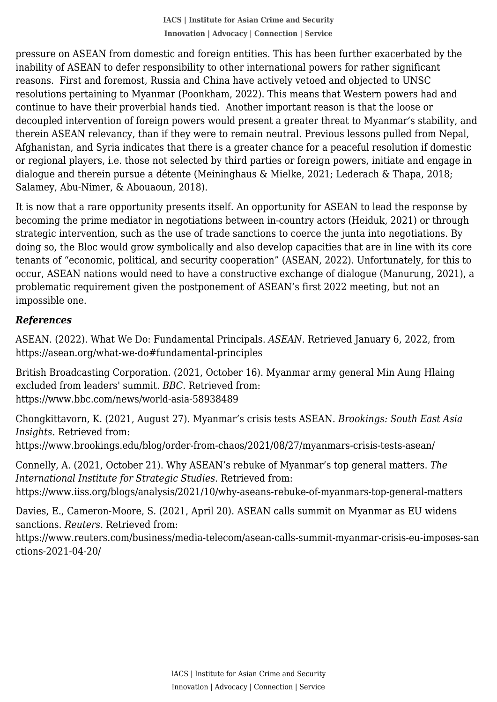inability of ASEAN to defer responsibility to other international powers for rather significant pressure on ASEAN from domestic and foreign entities. This has been further exacerbated by the reasons. First and foremost, Russia and China have actively vetoed and objected to UNSC resolutions pertaining to Myanmar (Poonkham, 2022). This means that Western powers had and continue to have their proverbial hands tied. Another important reason is that the loose or decoupled intervention of foreign powers would present a greater threat to Myanmar's stability, and therein ASEAN relevancy, than if they were to remain neutral. Previous lessons pulled from Nepal, Afghanistan, and Syria indicates that there is a greater chance for a peaceful resolution if domestic or regional players, i.e. those not selected by third parties or foreign powers, initiate and engage in dialogue and therein pursue a détente (Meininghaus & Mielke, 2021; Lederach & Thapa, 2018; Salamey, Abu-Nimer, & Abouaoun, 2018).

It is now that a rare opportunity presents itself. An opportunity for ASEAN to lead the response by becoming the prime mediator in negotiations between in-country actors (Heiduk, 2021) or through strategic intervention, such as the use of trade sanctions to coerce the junta into negotiations. By doing so, the Bloc would grow symbolically and also develop capacities that are in line with its core tenants of "economic, political, and security cooperation" (ASEAN, 2022). Unfortunately, for this to occur, ASEAN nations would need to have a constructive exchange of dialogue (Manurung, 2021), a problematic requirement given the postponement of ASEAN's first 2022 meeting, but not an impossible one.

### *References*

ASEAN. (2022). What We Do: Fundamental Principals. *ASEAN.* Retrieved January 6, 2022, from https://asean.org/what-we-do#fundamental-principles

British Broadcasting Corporation. (2021, October 16). Myanmar army general Min Aung Hlaing excluded from leaders' summit. *BBC*. Retrieved from: https://www.bbc.com/news/world-asia-58938489

Chongkittavorn, K. (2021, August 27). Myanmar's crisis tests ASEAN. *Brookings: South East Asia Insights*. Retrieved from: https://www.brookings.edu/blog/order-from-chaos/2021/08/27/myanmars-crisis-tests-asean/

Connelly, A. (2021, October 21). Why ASEAN's rebuke of Myanmar's top general matters. *The International Institute for Strategic Studies*. Retrieved from: https://www.iiss.org/blogs/analysis/2021/10/why-aseans-rebuke-of-myanmars-top-general-matters

Davies, E., Cameron-Moore, S. (2021, April 20). ASEAN calls summit on Myanmar as EU widens sanctions. *Reuters*. Retrieved from:

https://www.reuters.com/business/media-telecom/asean-calls-summit-myanmar-crisis-eu-imposes-san ctions-2021-04-20/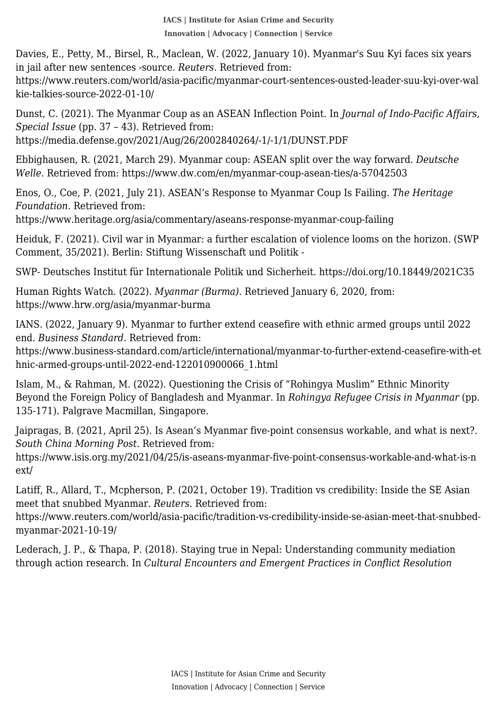in jail after new sentences -source. *Reuters*. Retrieved from: Davies, E., Petty, M., Birsel, R., Maclean, W. (2022, January 10). Myanmar's Suu Kyi faces six years

https://www.reuters.com/world/asia-pacific/myanmar-court-sentences-ousted-leader-suu-kyi-over-wal kie-talkies-source-2022-01-10/

Dunst, C. (2021). The Myanmar Coup as an ASEAN Inflection Point. In *Journal of Indo-Pacific Affairs, Special Issue* (pp. 37 – 43). Retrieved from: https://media.defense.gov/2021/Aug/26/2002840264/-1/-1/1/DUNST.PDF

Ebbighausen, R. (2021, March 29). Myanmar coup: ASEAN split over the way forward. *Deutsche Welle*. Retrieved from: https://www.dw.com/en/myanmar-coup-asean-ties/a-57042503

Enos, O., Coe, P. (2021, July 21). ASEAN's Response to Myanmar Coup Is Failing. *The Heritage Foundation*. Retrieved from:

https://www.heritage.org/asia/commentary/aseans-response-myanmar-coup-failing

Heiduk, F. (2021). Civil war in Myanmar: a further escalation of violence looms on the horizon. (SWP Comment, 35/2021). Berlin: Stiftung Wissenschaft und Politik -

SWP- Deutsches Institut für Internationale Politik und Sicherheit. https://doi.org/10.18449/2021C35

Human Rights Watch. (2022). *Myanmar (Burma)*. Retrieved January 6, 2020, from: https://www.hrw.org/asia/myanmar-burma

IANS. (2022, January 9). Myanmar to further extend ceasefire with ethnic armed groups until 2022 end. *Business Standard.* Retrieved from:

https://www.business-standard.com/article/international/myanmar-to-further-extend-ceasefire-with-et hnic-armed-groups-until-2022-end-122010900066\_1.html

Islam, M., & Rahman, M. (2022). Questioning the Crisis of "Rohingya Muslim" Ethnic Minority Beyond the Foreign Policy of Bangladesh and Myanmar. In *Rohingya Refugee Crisis in Myanmar* (pp. 135-171). Palgrave Macmillan, Singapore.

Jaipragas, B. (2021, April 25). Is Asean's Myanmar five-point consensus workable, and what is next?. *South China Morning Post*. Retrieved from:

https://www.isis.org.my/2021/04/25/is-aseans-myanmar-five-point-consensus-workable-and-what-is-n ext/

Latiff, R., Allard, T., Mcpherson, P. (2021, October 19). Tradition vs credibility: Inside the SE Asian meet that snubbed Myanmar. *Reuters*. Retrieved from:

https://www.reuters.com/world/asia-pacific/tradition-vs-credibility-inside-se-asian-meet-that-snubbedmyanmar-2021-10-19/

Lederach, J. P., & Thapa, P. (2018). Staying true in Nepal: Understanding community mediation through action research. In *Cultural Encounters and Emergent Practices in Conflict Resolution*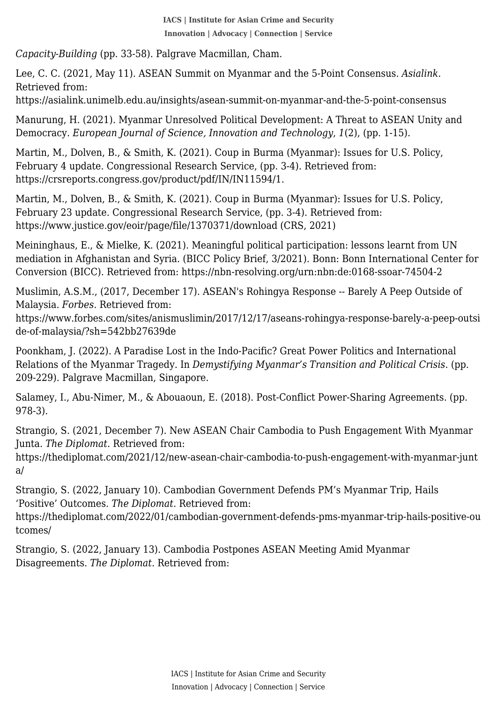*Capacity-Building* (pp. 33-58). Palgrave Macmillan, Cham.

 Lee, C. C. (2021, May 11). ASEAN Summit on Myanmar and the 5-Point Consensus. *Asialink*. Retrieved from:

https://asialink.unimelb.edu.au/insights/asean-summit-on-myanmar-and-the-5-point-consensus

Manurung, H. (2021). Myanmar Unresolved Political Development: A Threat to ASEAN Unity and Democracy. *European Journal of Science, Innovation and Technology*, *1*(2), (pp. 1-15).

Martin, M., Dolven, B., & Smith, K. (2021). Coup in Burma (Myanmar): Issues for U.S. Policy, February 4 update. Congressional Research Service, (pp. 3-4). Retrieved from: https://crsreports.congress.gov/product/pdf/IN/IN11594/1.

Martin, M., Dolven, B., & Smith, K. (2021). Coup in Burma (Myanmar): Issues for U.S. Policy, February 23 update. Congressional Research Service, (pp. 3-4). Retrieved from: https://www.justice.gov/eoir/page/file/1370371/download (CRS, 2021)

Meininghaus, E., & Mielke, K. (2021). Meaningful political participation: lessons learnt from UN mediation in Afghanistan and Syria. (BICC Policy Brief, 3/2021). Bonn: Bonn International Center for Conversion (BICC). Retrieved from: https://nbn-resolving.org/urn:nbn:de:0168-ssoar-74504-2

Muslimin, A.S.M., (2017, December 17). ASEAN's Rohingya Response -- Barely A Peep Outside of Malaysia. *Forbes*. Retrieved from:

https://www.forbes.com/sites/anismuslimin/2017/12/17/aseans-rohingya-response-barely-a-peep-outsi de-of-malaysia/?sh=542bb27639de

Poonkham, J. (2022). A Paradise Lost in the Indo-Pacific? Great Power Politics and International Relations of the Myanmar Tragedy. In *Demystifying Myanmar's Transition and Political Crisis*. (pp. 209-229). Palgrave Macmillan, Singapore.

Salamey, I., Abu-Nimer, M., & Abouaoun, E. (2018). Post-Conflict Power-Sharing Agreements. (pp. 978-3).

Strangio, S. (2021, December 7). New ASEAN Chair Cambodia to Push Engagement With Myanmar Junta. *The Diplomat*. Retrieved from:

https://thediplomat.com/2021/12/new-asean-chair-cambodia-to-push-engagement-with-myanmar-junt a/

Strangio, S. (2022, January 10). Cambodian Government Defends PM's Myanmar Trip, Hails 'Positive' Outcomes. *The Diplomat*. Retrieved from:

https://thediplomat.com/2022/01/cambodian-government-defends-pms-myanmar-trip-hails-positive-ou tcomes/

Strangio, S. (2022, January 13). Cambodia Postpones ASEAN Meeting Amid Myanmar Disagreements. *The Diplomat*. Retrieved from: